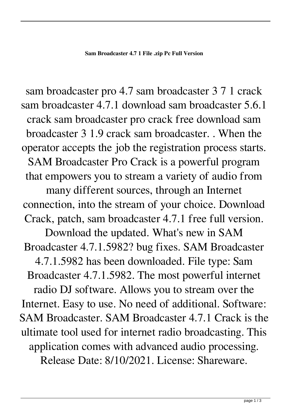sam broadcaster pro 4.7 sam broadcaster 3 7 1 crack sam broadcaster 4.7.1 download sam broadcaster 5.6.1 crack sam broadcaster pro crack free download sam broadcaster 3 1.9 crack sam broadcaster. . When the operator accepts the job the registration process starts. SAM Broadcaster Pro Crack is a powerful program that empowers you to stream a variety of audio from many different sources, through an Internet connection, into the stream of your choice. Download Crack, patch, sam broadcaster 4.7.1 free full version. Download the updated. What's new in SAM Broadcaster 4.7.1.5982? bug fixes. SAM Broadcaster 4.7.1.5982 has been downloaded. File type: Sam Broadcaster 4.7.1.5982. The most powerful internet radio DJ software. Allows you to stream over the Internet. Easy to use. No need of additional. Software: SAM Broadcaster. SAM Broadcaster 4.7.1 Crack is the ultimate tool used for internet radio broadcasting. This application comes with advanced audio processing. Release Date: 8/10/2021. License: Shareware.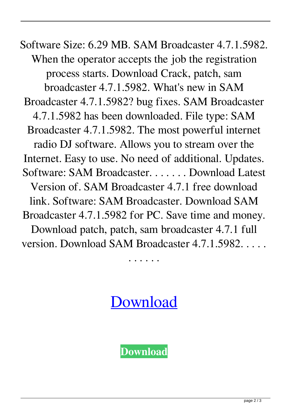Software Size: 6.29 MB. SAM Broadcaster 4.7.1.5982. When the operator accepts the job the registration process starts. Download Crack, patch, sam broadcaster 4.7.1.5982. What's new in SAM Broadcaster 4.7.1.5982? bug fixes. SAM Broadcaster 4.7.1.5982 has been downloaded. File type: SAM Broadcaster 4.7.1.5982. The most powerful internet radio DJ software. Allows you to stream over the Internet. Easy to use. No need of additional. Updates. Software: SAM Broadcaster. . . . . . . Download Latest Version of. SAM Broadcaster 4.7.1 free download link. Software: SAM Broadcaster. Download SAM Broadcaster 4.7.1.5982 for PC. Save time and money. Download patch, patch, sam broadcaster 4.7.1 full version. Download SAM Broadcaster 4.7.1.5982. . . . .

. . . . . .

[Download](http://evacdir.com/cowboys/bhatnagar/c2FtIGJyb2FkY2FzdGVyIDQuNyAxIGNyYWNrc2F.comscore?ZG93bmxvYWR8MURETVd3NGVIeDhNVFkxTWpjME1EZzJObng4TWpVM05IeDhLRTBwSUhKbFlXUXRZbXh2WnlCYlJtRnpkQ0JIUlU1ZA=&tellingly=doar)

**[Download](http://evacdir.com/cowboys/bhatnagar/c2FtIGJyb2FkY2FzdGVyIDQuNyAxIGNyYWNrc2F.comscore?ZG93bmxvYWR8MURETVd3NGVIeDhNVFkxTWpjME1EZzJObng4TWpVM05IeDhLRTBwSUhKbFlXUXRZbXh2WnlCYlJtRnpkQ0JIUlU1ZA=&tellingly=doar)**